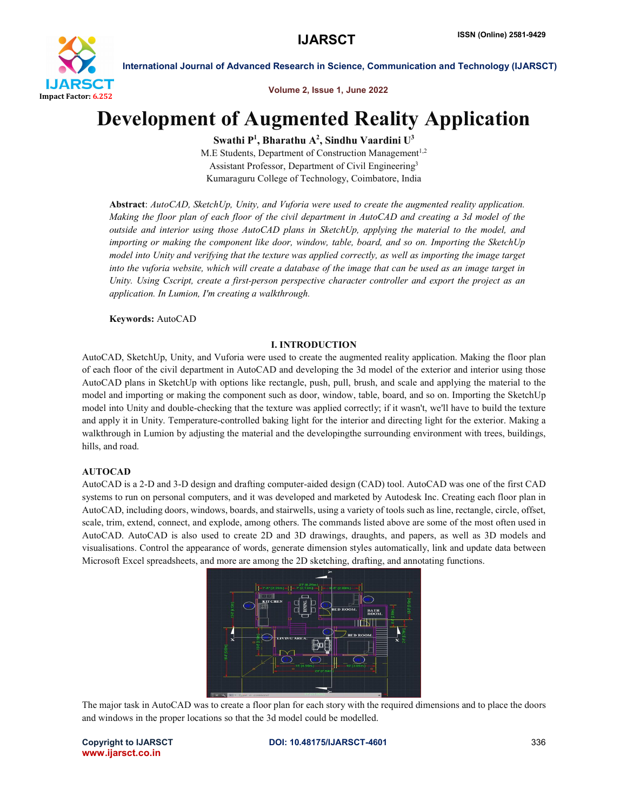

International Journal of Advanced Research in Science, Communication and Technology (IJARSCT)

Volume 2, Issue 1, June 2022

# Development of Augmented Reality Application

Swathi P<sup>1</sup>, Bharathu A<sup>2</sup>, Sindhu Vaardini U<sup>3</sup>

M.E Students, Department of Construction Management<sup>1,2</sup> Assistant Professor, Department of Civil Engineering3 Kumaraguru College of Technology, Coimbatore, India

Abstract: *AutoCAD, SketchUp, Unity, and Vuforia were used to create the augmented reality application. Making the floor plan of each floor of the civil department in AutoCAD and creating a 3d model of the outside and interior using those AutoCAD plans in SketchUp, applying the material to the model, and importing or making the component like door, window, table, board, and so on. Importing the SketchUp model into Unity and verifying that the texture was applied correctly, as well as importing the image target into the vuforia website, which will create a database of the image that can be used as an image target in Unity. Using Cscript, create a first-person perspective character controller and export the project as an application. In Lumion, I'm creating a walkthrough.*

Keywords: AutoCAD

# I. INTRODUCTION

AutoCAD, SketchUp, Unity, and Vuforia were used to create the augmented reality application. Making the floor plan of each floor of the civil department in AutoCAD and developing the 3d model of the exterior and interior using those AutoCAD plans in SketchUp with options like rectangle, push, pull, brush, and scale and applying the material to the model and importing or making the component such as door, window, table, board, and so on. Importing the SketchUp model into Unity and double-checking that the texture was applied correctly; if it wasn't, we'll have to build the texture and apply it in Unity. Temperature-controlled baking light for the interior and directing light for the exterior. Making a walkthrough in Lumion by adjusting the material and the developingthe surrounding environment with trees, buildings, hills, and road.

# AUTOCAD

AutoCAD is a 2-D and 3-D design and drafting computer-aided design (CAD) tool. AutoCAD was one of the first CAD systems to run on personal computers, and it was developed and marketed by Autodesk Inc. Creating each floor plan in AutoCAD, including doors, windows, boards, and stairwells, using a variety of tools such as line, rectangle, circle, offset, scale, trim, extend, connect, and explode, among others. The commands listed above are some of the most often used in AutoCAD. AutoCAD is also used to create 2D and 3D drawings, draughts, and papers, as well as 3D models and visualisations. Control the appearance of words, generate dimension styles automatically, link and update data between Microsoft Excel spreadsheets, and more are among the 2D sketching, drafting, and annotating functions.



The major task in AutoCAD was to create a floor plan for each story with the required dimensions and to place the doors and windows in the proper locations so that the 3d model could be modelled.

www.ijarsct.co.in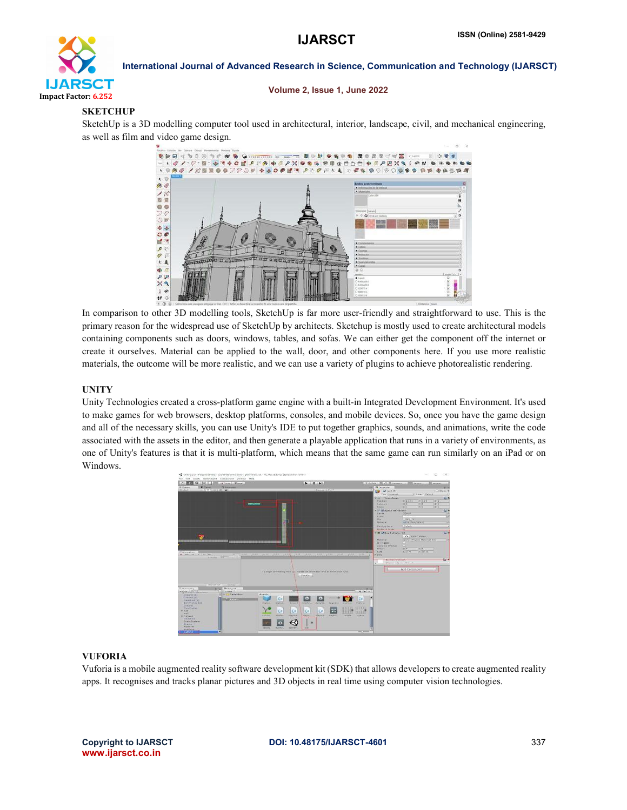

International Journal of Advanced Research in Science, Communication and Technology (IJARSCT)

#### Volume 2, Issue 1, June 2022

# **SKETCHUP**

SketchUp is a 3D modelling computer tool used in architectural, interior, landscape, civil, and mechanical engineering, as well as film and video game design.



In comparison to other 3D modelling tools, SketchUp is far more user-friendly and straightforward to use. This is the primary reason for the widespread use of SketchUp by architects. Sketchup is mostly used to create architectural models containing components such as doors, windows, tables, and sofas. We can either get the component off the internet or create it ourselves. Material can be applied to the wall, door, and other components here. If you use more realistic materials, the outcome will be more realistic, and we can use a variety of plugins to achieve photorealistic rendering.

# UNITY

Unity Technologies created a cross-platform game engine with a built-in Integrated Development Environment. It's used to make games for web browsers, desktop platforms, consoles, and mobile devices. So, once you have the game design and all of the necessary skills, you can use Unity's IDE to put together graphics, sounds, and animations, write the code associated with the assets in the editor, and then generate a playable application that runs in a variety of environments, as one of Unity's features is that it is multi-platform, which means that the same game can run similarly on an iPad or on Windows.



# VUFORIA

Vuforia is a mobile augmented reality software development kit (SDK) that allows developers to create augmented reality apps. It recognises and tracks planar pictures and 3D objects in real time using computer vision technologies.